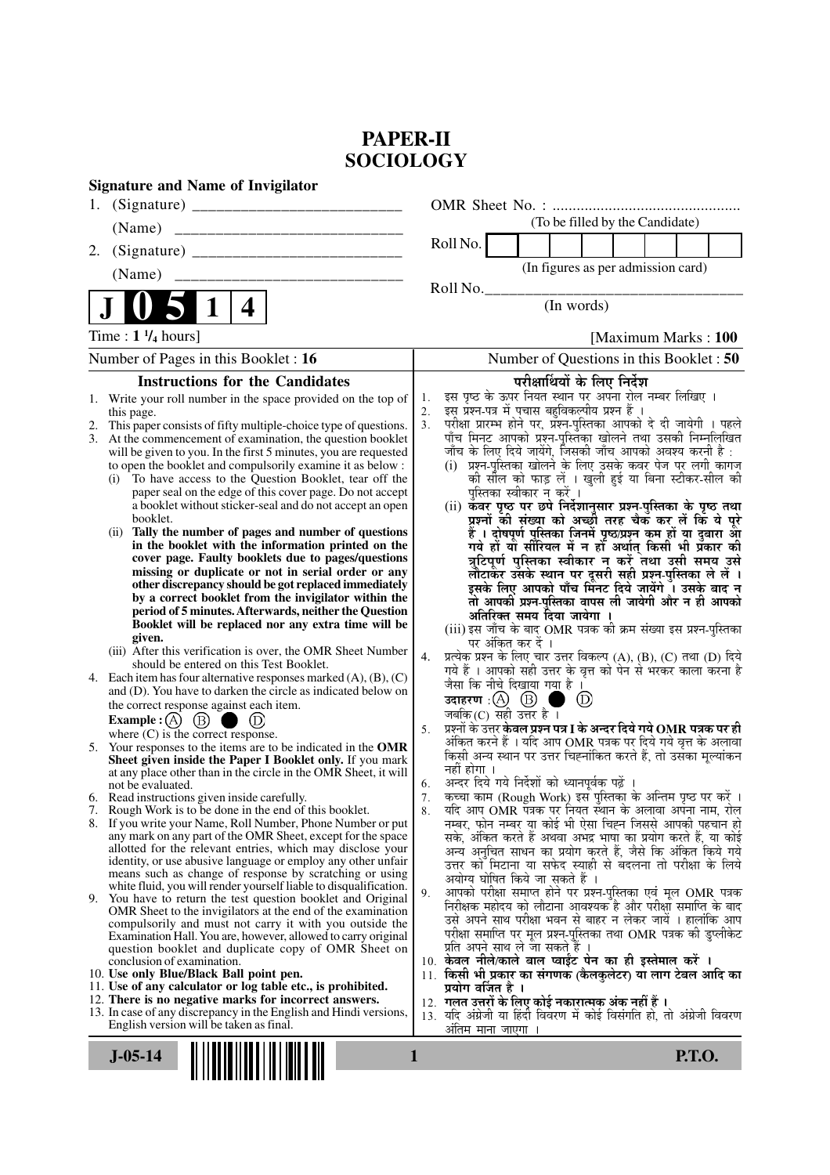# **PAPER-II SOCIOLOGY**

| <b>Signature and Name of Invigilator</b>                                                                                                 |                                                                                                                                     |
|------------------------------------------------------------------------------------------------------------------------------------------|-------------------------------------------------------------------------------------------------------------------------------------|
|                                                                                                                                          |                                                                                                                                     |
| (Name)                                                                                                                                   | (To be filled by the Candidate)                                                                                                     |
| 2.                                                                                                                                       | Roll No.                                                                                                                            |
| (Name)<br>______________________________                                                                                                 | (In figures as per admission card)                                                                                                  |
|                                                                                                                                          | Roll No.                                                                                                                            |
| 4                                                                                                                                        | (In words)                                                                                                                          |
| Time : $1\frac{1}{4}$ hours]                                                                                                             | [Maximum Marks: 100]                                                                                                                |
| Number of Pages in this Booklet : 16                                                                                                     | Number of Questions in this Booklet : 50                                                                                            |
| <b>Instructions for the Candidates</b>                                                                                                   | परीक्षार्थियों के लिए निर्देश                                                                                                       |
| Write your roll number in the space provided on the top of<br>1.                                                                         | इस पृष्ठ के ऊपर नियत स्थान पर अपना रोल नम्बर लिखिए ।<br>1.<br>इस प्रश्न-पत्र में पचास बहुविकल्पीय प्रश्न हैं ।                      |
| this page.<br>This paper consists of fifty multiple-choice type of questions.                                                            | 2.<br>3.                                                                                                                            |
| 3.<br>At the commencement of examination, the question booklet                                                                           | परीक्षा प्रारम्भ होने पर, प्रश्न-पुस्तिका आपको दे दी जायेगी । पहले<br>पाँच मिनट आपको प्रश्न-पुस्तिका खोलने तथा उसकी निम्नलिखित      |
| will be given to you. In the first 5 minutes, you are requested                                                                          | जाँच के लिए दिये जायेंगे, जिसकी जाँच आपको अवश्य करनी है :                                                                           |
| to open the booklet and compulsorily examine it as below :<br>To have access to the Question Booklet, tear off the<br>(i)                | (i) प्रश्न-पुस्तिका खोलने के लिए उसके कवर पेज पर लगी कागज<br>की सील को फाड़ लें । खुली हुई या बिना स्टीकर-सील की                    |
| paper seal on the edge of this cover page. Do not accept                                                                                 | पुस्तिका स्वीकार न करें ।                                                                                                           |
| a booklet without sticker-seal and do not accept an open                                                                                 | (ii) कवर पृष्ठ पर छपे निर्देशानुसार प्रश्न्-पुस्तिका के पृष्ठ तथा                                                                   |
| booklet.<br>Tally the number of pages and number of questions<br>(ii)                                                                    | प्रश्नों की संख्या को अच्छी तरह चैक कर लें कि ये पूरे                                                                               |
| in the booklet with the information printed on the                                                                                       | हैं । दोषपूर्ण पुस्तिका जिनमें पृष्ठ/प्रश्न कम हों या दुबारा आ<br>गये हो या सीरियल में न हो अर्थात् किसी भी प्रकार की               |
| cover page. Faulty booklets due to pages/questions                                                                                       | त्रुटिपूर्ण पुस्तिका स्वीकार न करें तथा उसी समय उसे                                                                                 |
| missing or duplicate or not in serial order or any<br>other discrepancy should be got replaced immediately                               | लौटाकेर उसके स्थान पर दूसरी सही प्रश्न-पुस्तिका ले लें।<br>इसके लिए आपको पाँच मिंनट दिये जायेंगे ँ। उसके बाद न                      |
| by a correct booklet from the invigilator within the                                                                                     | तो आपकी प्रश्न-पुस्तिका वापस ली जायेगी और न ही आपको                                                                                 |
| period of 5 minutes. Afterwards, neither the Question                                                                                    | अतिरिक्त समय दिया जायेगा ।                                                                                                          |
| Booklet will be replaced nor any extra time will be<br>given.                                                                            | (iii) इस जाँच के बाद OMR पत्रक की क्रम संख्या इस प्रश्न-पुस्तिका                                                                    |
| (iii) After this verification is over, the OMR Sheet Number                                                                              | पर अंकित कर दें ।<br>प्रत्येक प्रश्न के लिए चार उत्तर विकल्प (A), (B), (C) तथा (D) दिये<br>4.                                       |
| should be entered on this Test Booklet.                                                                                                  | गये हैं । आपको सही उत्तर के वृत्त को पेन से भरकर काला करना है                                                                       |
| 4. Each item has four alternative responses marked $(A)$ , $(B)$ , $(C)$<br>and (D). You have to darken the circle as indicated below on | जैसा कि नीचे दिखाया गया है ।                                                                                                        |
| the correct response against each item.                                                                                                  | $\circled{D}$<br>. .                                                                                                                |
| Example : $(A)$ $(B)$ (<br>a se                                                                                                          | जबकि (C) सही उत्तर है $\overline{1}$<br>प्रश्नों के उत्तर <b>केवल प्रश्न पत्र I के अन्दर दिये गये OMR पत्रक पर ही</b><br>5.         |
| where $(C)$ is the correct response.<br>5. Your responses to the items are to be indicated in the OMR                                    | अंकित करने हैं । यदि आप OMR पत्रक पर दिये गये वृत्त के अलावा                                                                        |
| Sheet given inside the Paper I Booklet only. If you mark                                                                                 | किसी अन्य स्थान पर उत्तर चिह्नांकित करते हैं, तो उसका मूल्यांकन                                                                     |
| at any place other than in the circle in the OMR Sheet, it will                                                                          | नहीं होगा ।<br>अन्दर दिये गये निर्देशों को ध्यानपूर्वक पढ़ें ।                                                                      |
| not be evaluated.<br>6. Read instructions given inside carefully.                                                                        | 6.<br>कच्चा काम (Rough Work) इस पुस्तिका के अन्तिम पृष्ठ पर करें ।<br>7.                                                            |
| 7. Rough Work is to be done in the end of this booklet.                                                                                  | यदि आप OMR पत्रक पर नियत स्थान के अलावा अपना नाम, रोल<br>8.                                                                         |
| 8. If you write your Name, Roll Number, Phone Number or put                                                                              | नम्बर, फोन नम्बर या कोई भी ऐसा चिह्न जिससे आपकी पहचान हो                                                                            |
| any mark on any part of the OMR Sheet, except for the space<br>allotted for the relevant entries, which may disclose your                | सके, अंकित करते हैं अथवा अभद्र भाषा का प्रयोग करते हैं, या कोई<br>अन्य अनुचित साधन का प्रयोग करते हैं, जैसे कि अंकित किये गये       |
| identity, or use abusive language or employ any other unfair                                                                             | उत्तर को मिटाना या सफेद स्याही से बदलना तो परीक्षा के लिये                                                                          |
| means such as change of response by scratching or using<br>white fluid, you will render yourself liable to disqualification.             | अयोग्य घोषित किये जा सकते हैं ।                                                                                                     |
| 9. You have to return the test question booklet and Original                                                                             | आपको परीक्षा समाप्त होने पर प्रश्न-पुस्तिका एवं मूल OMR पत्रक<br>9.<br>निरीक्षक महोदय को लौटाना आवश्यक है और परीक्षा समाप्ति के बाद |
| OMR Sheet to the invigilators at the end of the examination<br>compulsorily and must not carry it with you outside the                   | उसे अपने साथ परीक्षा भवन से बाहर न लेकर जायें । हालांकि आप                                                                          |
| Examination Hall. You are, however, allowed to carry original                                                                            | परीक्षा समाप्ति पर मूल प्रश्न-पुस्तिका तथा OMR पत्रक की डुप्लीकेट                                                                   |
| question booklet and duplicate copy of OMR Sheet on                                                                                      | प्रति अपने साथ ले जा सकते हैं ।<br>10. केवल नीले/काले बाल प्वाईंट पेन का ही इस्तेमाल करें ।                                         |
| conclusion of examination.<br>10. Use only Blue/Black Ball point pen.                                                                    | 11. किसी भी प्रकार का संगणक (कैलकुलेटर) या लाग टेबल आदि का                                                                          |
| 11. Use of any calculator or log table etc., is prohibited.                                                                              | प्रयोग वर्जित है ।                                                                                                                  |
| 12. There is no negative marks for incorrect answers.<br>13. In case of any discrepancy in the English and Hindi versions,               | 12.  गलत उत्तरों के लिए कोई नकारात्मक अंक नहीं हैं ।                                                                                |
| English version will be taken as final.                                                                                                  | 13. यदि अंग्रेजी या हिंदी विवरण में कोई विसंगति हो, तो अंग्रेजी विवरण<br>अंतिम माना जाएगा ।                                         |
|                                                                                                                                          |                                                                                                                                     |
| $J-05-14$                                                                                                                                | 1<br><b>P.T.O.</b>                                                                                                                  |
|                                                                                                                                          |                                                                                                                                     |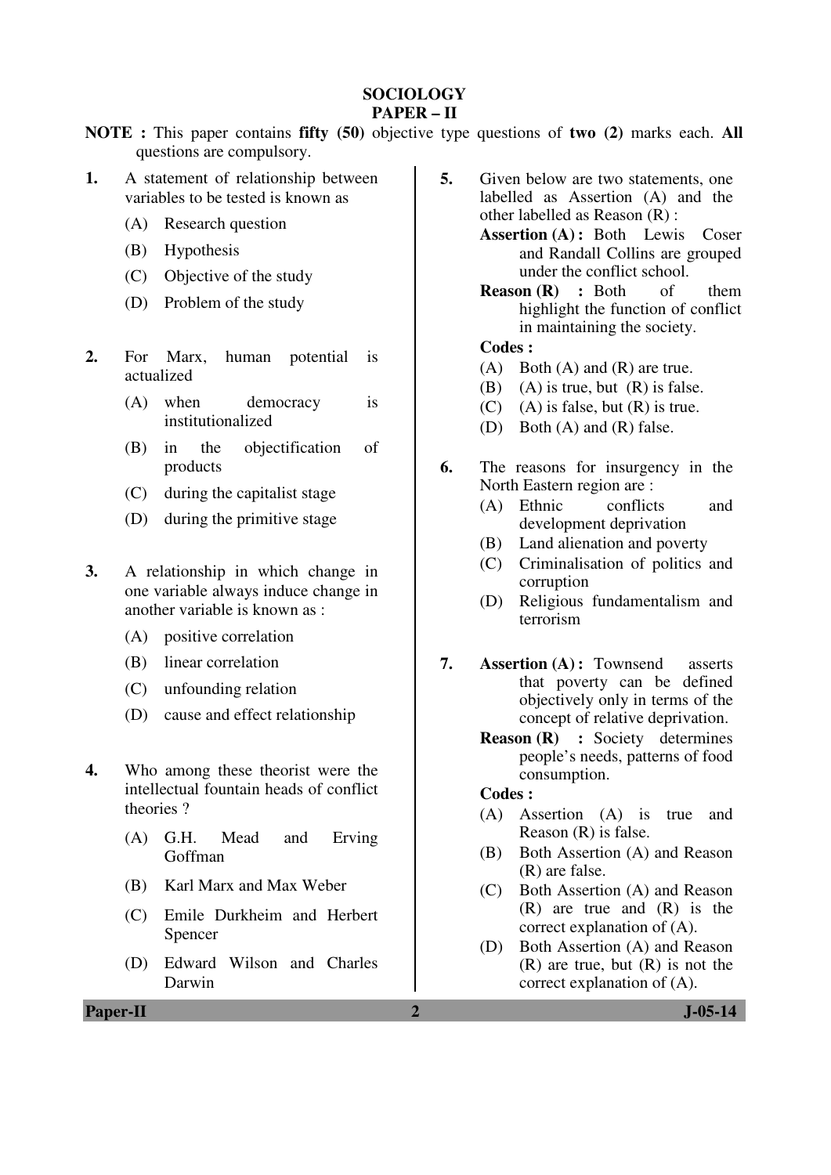## **SOCIOLOGY**

## **PAPER – II**

**NOTE :** This paper contains **fifty (50)** objective type questions of **two (2)** marks each. **All** questions are compulsory.

- **1.** A statement of relationship between variables to be tested is known as
	- (A) Research question
	- (B) Hypothesis
	- (C) Objective of the study
	- (D) Problem of the study
- **2.** For Marx, human potential is actualized
	- (A) when democracy is institutionalized
	- (B) in the objectification of products
	- (C) during the capitalist stage
	- (D) during the primitive stage
- **3.** A relationship in which change in one variable always induce change in another variable is known as :
	- (A) positive correlation
	- (B) linear correlation
	- (C) unfounding relation
	- (D) cause and effect relationship
- **4.** Who among these theorist were the intellectual fountain heads of conflict theories ?
	- (A) G.H. Mead and Erving Goffman
	- (B) Karl Marx and Max Weber
	- (C) Emile Durkheim and Herbert Spencer
	- (D) Edward Wilson and Charles Darwin
- **5.** Given below are two statements, one labelled as Assertion (A) and the other labelled as Reason (R) :
	- **Assertion (A) :** Both Lewis Coser and Randall Collins are grouped under the conflict school.
	- **Reason (R) :** Both of them highlight the function of conflict in maintaining the society.

### **Codes :**

- (A) Both (A) and (R) are true.
- (B) (A) is true, but  $(R)$  is false.
- $(C)$  (A) is false, but  $(R)$  is true.
- (D) Both (A) and (R) false.
- **6.** The reasons for insurgency in the North Eastern region are :
	- (A) Ethnic conflicts and development deprivation
	- (B) Land alienation and poverty
	- (C) Criminalisation of politics and corruption
	- (D) Religious fundamentalism and terrorism
- **7. Assertion (A) :** Townsend asserts that poverty can be defined objectively only in terms of the concept of relative deprivation.
	- **Reason (R) :** Society determines people's needs, patterns of food consumption.

## **Codes :**

- (A) Assertion (A) is true and Reason (R) is false.
- (B) Both Assertion (A) and Reason (R) are false.
- (C) Both Assertion (A) and Reason (R) are true and (R) is the correct explanation of (A).
- (D) Both Assertion (A) and Reason (R) are true, but (R) is not the correct explanation of (A).

**Paper-II 2 J-05-14**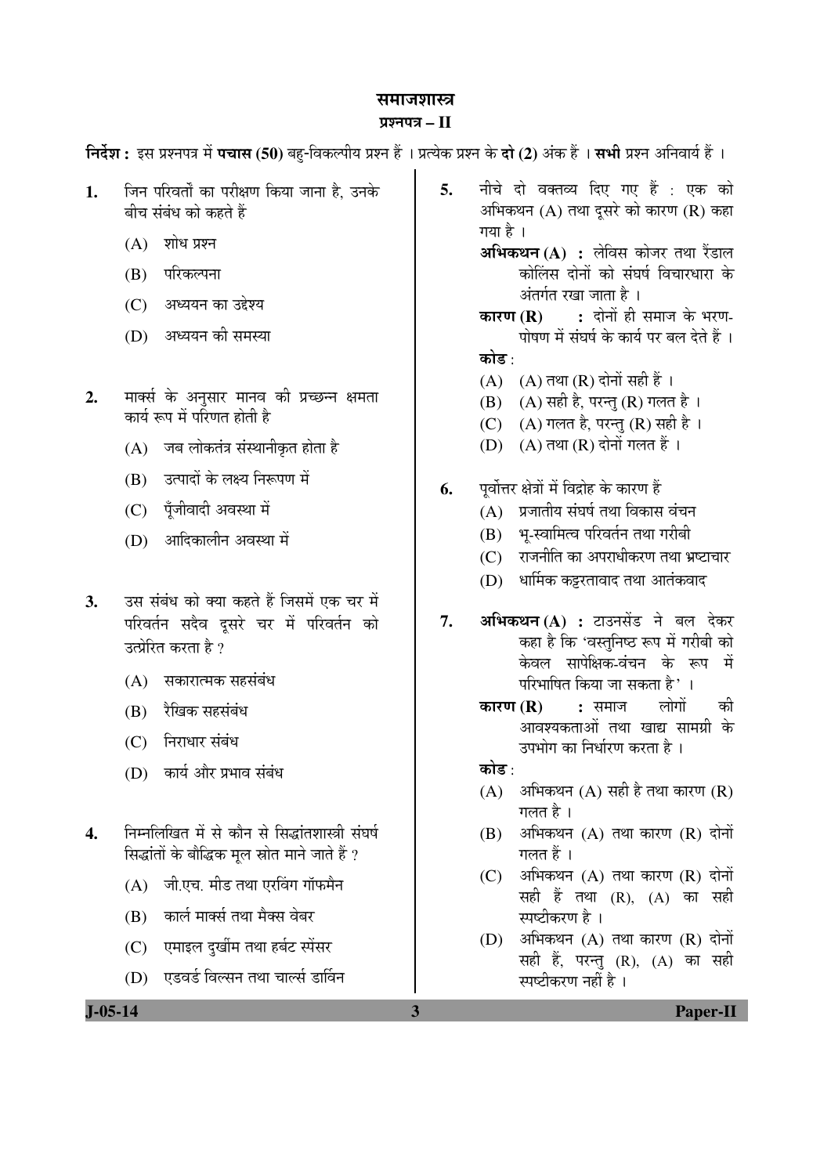#### समाजशास्त्र

#### प्रश्नपत्र – II

**निर्देश :** इस प्रश्नपत्र में **पचास (50)** बह-विकल्पीय प्रश्न हैं । प्रत्येक प्रश्न के **दो (2)** अंक हैं । सभी प्रश्न अनिवार्य हैं ।

- 1. जिन परिवर्तों का परीक्षण किया जाना है. उनके बीच संबंध को कहते हैं
	- $(A)$  शोध प्रश्न
	- (B) परिकल्पना
	- (C) अध्ययन का उद्देश्य
	- (D) अध्ययन की समस्या
- 2. THI कर्स के अनुसार मानव की प्रच्छन्न क्षमता कार्य रूप में परिणत होती है
	- $(A)$  जब लोकतंत्र संस्थानीकृत होता है
	- (B) उत्पादों के लक्ष्य निरूपण में
	- (C) पॅजीवादी अवस्था में
	- (D) आदिकालीन अवस्था में
- 3. उस संबंध को क्या कहते हैं जिसमें एक चर में परिवर्तन सदैव दूसरे चर में परिवर्तन को उत्प्रेरित करता है ?
	- $(A)$  सकारात्मक सहसंबंध
	- (B) रैखिक सहसंबंध
	- (C) निराधार संबंध
	- $(D)$  कार्य और प्रभाव संबंध
- 4. निम्नलिखित में से कौन से सिद्धांतशास्त्री संघर्ष सिद्धांतों के बौद्धिक मृल स्रोत माने जाते हैं ?
	- $(A)$  जी.एच. मीड तथा एरविंग गॉफमैन
	- (B) कार्ल मार्क्स तथा मैक्स वेबर
	- (C) एमाइल दुर्खीम तथा हर्बट स्पेंसर
	- (D) एडवर्ड विल्सन तथा चार्ल्स डार्विन
- 5. नीचे दो वक्तव्य दिए गए हैं : एक को अभिकथन  $(A)$  तथा दुसरे को कारण  $(R)$  कहा गया है । **अभिकथन (A) :** लेविस कोजर तथा रैंडाल
	- कोलिस दोनों को संघर्ष विचारधारा के अंतर्गत रखा जाता है ।
	- **कारण (R) :** दोनों ही समाज के भरण-<u>पोषण में संघर्ष के कार्य पर बल देते हैं</u>। कोड :
	- $(A)$   $(A)$  तथा  $(R)$  दोनों सही हैं।
	- $(B)$   $(A)$  सही है, परन्तु  $(R)$  गलत है।
	- (C) (A) गलत है, परन्तु (R) सही है ।
	- $(D)$   $(A)$  तथा  $(R)$  दोनों गलत हैं।
- **6.** यवोत्तर क्षेत्रों में विद्रोह के कारण हैं
	- $(A)$  प्रजातीय संघर्ष तथा विकास वंचन
	- (B) भू-स्वामित्व परिवर्तन तथा गरीबी
	- (C) राजनीति का अपराधीकरण तथा भ्रष्टाचार
	- $(D)$  धार्मिक कड़रतावाद तथा आतंकवाद
- 7. **अभिकथन (A) :** टाउनसेंड ने बल देकर कहा है कि 'वस्तुनिष्ठ रूप में गरीबी को केवल सापेक्षिक-वंचन के रूप में परिभाषित किया जा सकता है $^{\prime}$ ा
	- **कारण (R) :** समाज लोगों की आवश्यकताओं तथा खाद्य सामग्री के उपभोग का निर्धारण करता है ।
	- कोड :
	- $(A)$  अभिकथन  $(A)$  सही है तथा कारण  $(R)$ गलत है ।
	- $(B)$  अभिकथन  $(A)$  तथा कारण  $(R)$  दोनों गलत $\tilde{\vec{r}}$ ।
	- $(C)$  अभिकथन  $(A)$  तथा कारण  $(R)$  दोनों सही हैं तथा  $(R)$ ,  $(A)$  का सही स्पष्टीकरण है ।
	- $(D)$  अभिकथन  $(A)$  तथा कारण  $(R)$  दोनों सही हैं, परन्तु (R), (A) का सही स्पष्टीकरण नहीं है ।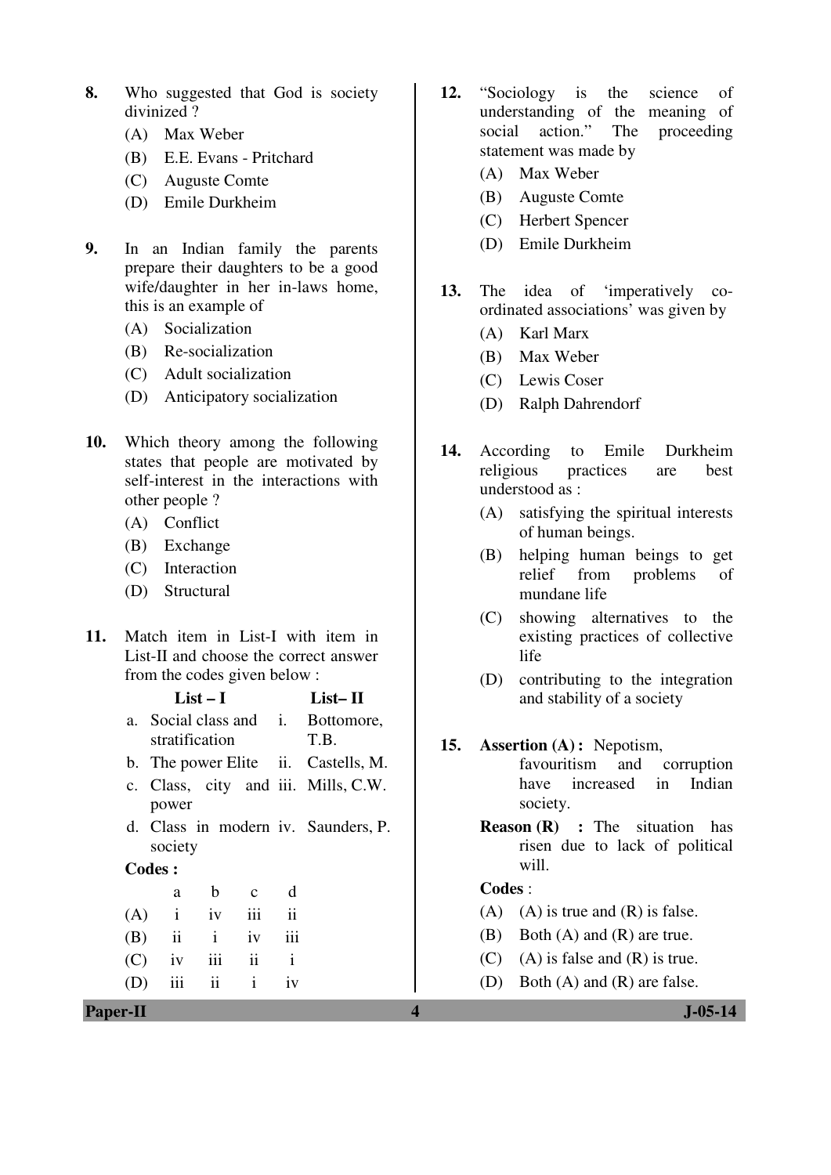- **8.** Who suggested that God is society divinized ?
	- (A) Max Weber
	- (B) E.E. Evans Pritchard
	- (C) Auguste Comte
	- (D) Emile Durkheim
- **9.** In an Indian family the parents prepare their daughters to be a good wife/daughter in her in-laws home, this is an example of
	- (A) Socialization
	- (B) Re-socialization
	- (C) Adult socialization
	- (D) Anticipatory socialization
- **10.** Which theory among the following states that people are motivated by self-interest in the interactions with other people ?
	- (A) Conflict
	- (B) Exchange
	- (C) Interaction
	- (D) Structural
- **11.** Match item in List-I with item in List-II and choose the correct answer from the codes given below :

|                 | $List-I$                              |               |               |              | $List-II$                           |     |        | and stability of a society                                                       |
|-----------------|---------------------------------------|---------------|---------------|--------------|-------------------------------------|-----|--------|----------------------------------------------------------------------------------|
| a.              | Social class and i.<br>stratification |               |               |              | Bottomore,<br>T.B.                  | 15. |        | <b>Assertion</b> (A): Nepotism,                                                  |
|                 |                                       |               |               |              | b. The power Elite ii. Castells, M. |     |        | favouritism<br>and<br>corruption                                                 |
|                 | power                                 |               |               |              | c. Class, city and iii. Mills, C.W. |     |        | increased<br>Indian<br>have<br>in<br>society.                                    |
| Codes :         | society                               |               |               |              | d. Class in modern iv. Saunders, P. |     |        | <b>Reason (R)</b> : The situation has<br>risen due to lack of political<br>will. |
|                 | a                                     | b             | $\mathbf{C}$  | d            |                                     |     | Codes: |                                                                                  |
| (A)             | $\mathbf{i}$                          | 1V            | 111           | ii           |                                     |     | (A)    | $(A)$ is true and $(R)$ is false.                                                |
| (B)             | ii                                    | $\mathbf{i}$  | 1V            | 111          |                                     |     | (B)    | Both $(A)$ and $(R)$ are true.                                                   |
| (C)             | iv                                    | iii           | $\mathbf{ii}$ | $\mathbf{i}$ |                                     |     | (C)    | $(A)$ is false and $(R)$ is true.                                                |
| (D)             | iii                                   | $\mathbf{ii}$ | $\mathbf{i}$  | iv           |                                     |     | (D)    | Both $(A)$ and $(R)$ are false.                                                  |
| <b>Paper-II</b> |                                       |               |               |              |                                     | 4   |        | <b>J-05-14</b>                                                                   |

- **12.** "Sociology is the science of understanding of the meaning of social action." The proceeding social action." The proceeding statement was made by
	- (A) Max Weber
	- (B) Auguste Comte
	- (C) Herbert Spencer
	- (D) Emile Durkheim
- **13.** The idea of 'imperatively coordinated associations' was given by
	- (A) Karl Marx
	- (B) Max Weber
	- (C) Lewis Coser
	- (D) Ralph Dahrendorf
- **14.** According to Emile Durkheim religious practices are best understood as :
	- (A) satisfying the spiritual interests of human beings.
	- (B) helping human beings to get relief from problems of mundane life
	- (C) showing alternatives to the existing practices of collective life
	- (D) contributing to the integration and stability of a society
- **15. Assertion (A) :** Nepotism, favouritism and corruption have increased in Indian society.
	- **Reason (R) :** The situation has risen due to lack of political will.

### **Codes** :

- $(A)$   $(A)$  is true and  $(R)$  is false.
- (B) Both (A) and (R) are true.
- (C) (A) is false and  $(R)$  is true.
- (D) Both (A) and (R) are false.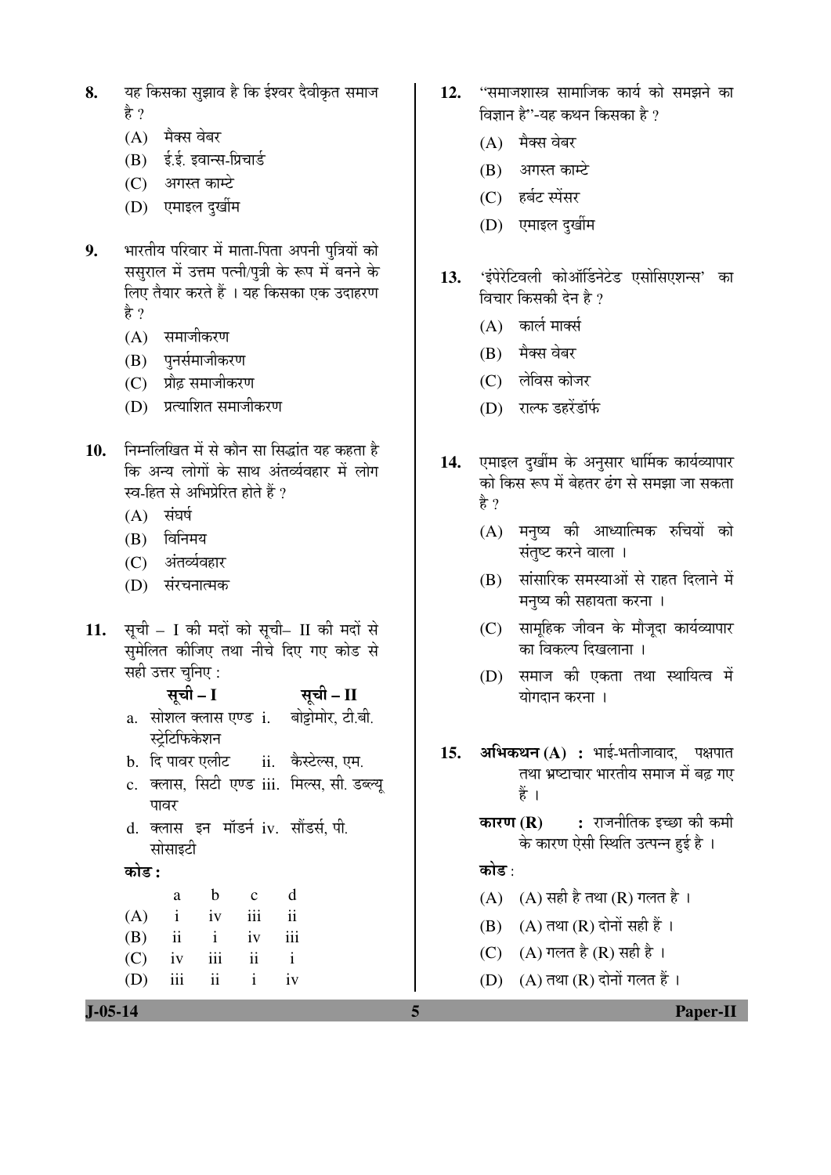- यह किसका सुझाव है कि ईश्वर दैवीकृत समाज 8. हे ?
	- $(A)$  मैक्स वेबर
	- (B) ई.ई. इवान्स-प्रिचार्ड
	- (C) अगस्त काम्टे
	- (D) एमाइल दुर्खीम
- भारतीय परिवार में माता-पिता अपनी पुत्रियों को  $9<sub>l</sub>$ लिए तैयार करते हैं । यह किसका एक उदाहरण है ?
	- (A) समाजीकरण
	- (B) पुनर्समाजीकरण
	- (C) प्रौढ़ समाजीकरण
	- (D) प्रत्याशित समाजीकरण
- निम्नलिखित में से कौन सा सिद्धांत यह कहता है  $10.$ कि अन्य लोगों के साथ अंतर्व्यवहार में लोग स्व-हित से अभिप्रेरित होते हैं ?
	- $(A)$  संघर्ष
	- $(B)$  विनिमय
	- (C) अंतर्व्यवहार
	- (D) संरचनात्मक
- सूची I की मदों को सूची- II की मदों से  $11.$ समेलित कीजिए तथा नीचे दिए गए कोड से सही उत्तर चुनिए :
	- सूची I सची - II a. सोशल क्लास एण्ड**ां**. बोट्टोमोर, टी.बी. स्ट्रेटिफिकेशन b. दि पावर एलीट ii. कैस्टेल्स, एम.
	- c. क्लास, सिटी एण्ड iii. मिल्स, सी. डब्ल्यू ਧਾਰਸ
	- d. क्लास इन मॉडर्न iv. सौंडर्स पी. सोसाइटी
	- कोड :
	- $\mathbf b$  $\mathbf{d}$  $\mathbf{c}$ a  $iv$ iii  $\mathbf{ii}$  $(A)$  $\mathbf{i}$  $(B)$  $\mathbf{ii}$  $\mathbf{i}$  $iv$ iii  $(C)$  $\mathbf{ii}$  $\mathbf{i}$  $iv$ iii  $\mathbf{i}$  $(D)$ iii  $\mathbf{ii}$  $iv$
- ''समाजशास्त्र सामाजिक कार्य को समझने का  $12.$ विज्ञान है"-यह कथन किसका है ?
	- (A) मैक्स वेबर
	- (B) अगस्त काम्टे
	- (C) हर्बट स्पेंसर
	- (D) एमाइल दुर्खीम
- 'इंपेरेटिवली कोऑर्डिनेटेड एसोसिएशन्स' का  $13.$ विचार किसकी देन है ?
	- $(A)$  कार्ल मार्क्स
	- (B) मैक्स वेबर
	- (C) लेविस कोजर
	- (D) राल्फ डहरेंडॉर्फ
- एमाइल दुर्खीम के अनुसार धार्मिक कार्यव्यापार 14. को किस रूप में बेहतर दंग से समझा जा सकता हे ?
	- (A) मनुष्य की आध्यात्मिक रुचियों को संतुष्ट करने वाला ।
	- (B) सांसारिक समस्याओं से राहत दिलाने में मनुष्य की सहायता करना ।
	- (C) सामूहिक जीवन के मौजूदा कार्यव्यापार का विकल्प दिखलाना ।
	- (D) समाज की एकता तथा स्थायित्व में योगदान करना ।
- **अभिकथन (A) :** भाई-भतीजावाद, पक्षपात  $15.$ तथा भ्रष्टाचार भारतीय समाज में बढ गए हैं ।
	- कारण $(R)$ : राजनीतिक इच्छा की कमी के कारण ऐसी स्थिति उत्पन्न हुई है ।

## कोड⊹

- (A) (A) सही है तथा (R) गलत है।
- $(B)$   $(A)$  तथा  $(R)$  दोनों सही हैं ।
- (C) (A) गलत है (R) सही है।
- (D)  $(A)$  तथा  $(R)$  दोनों गलत हैं।

**Paper-II**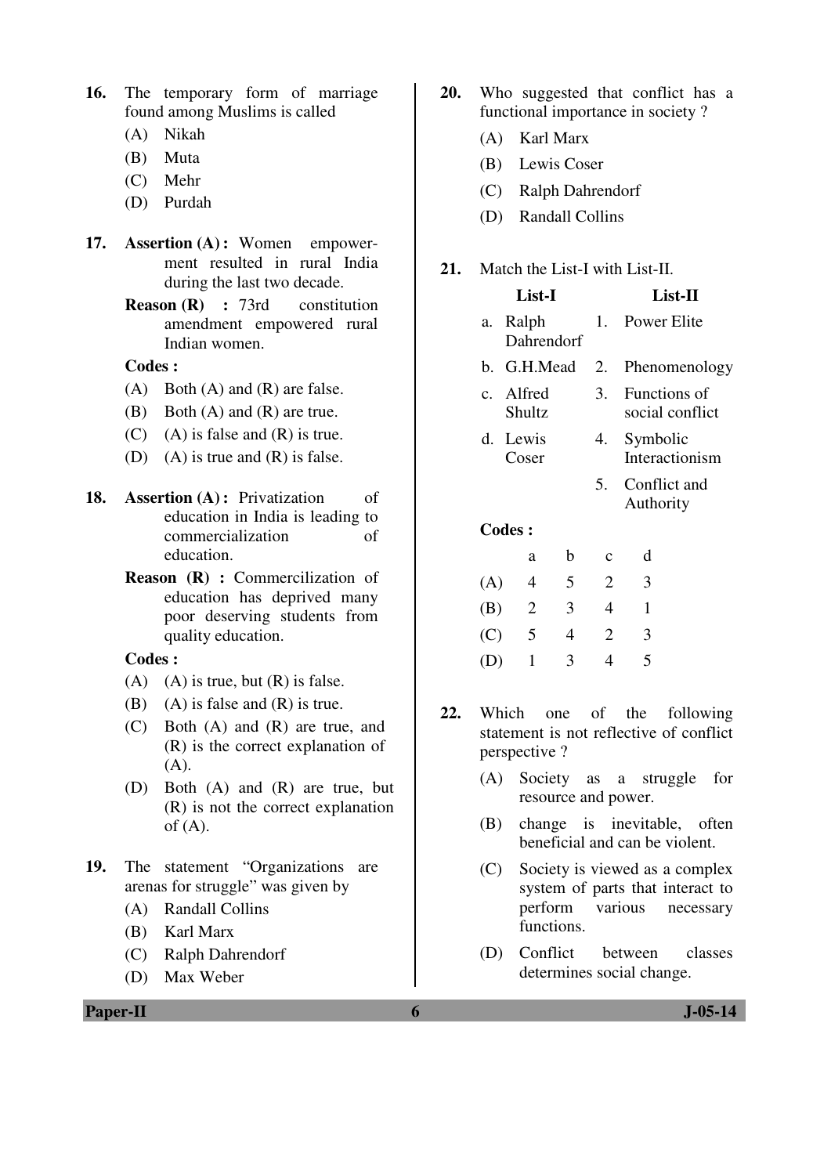- **16.** The temporary form of marriage found among Muslims is called
	- (A) Nikah
	- (B) Muta
	- (C) Mehr
	- (D) Purdah
- **17. Assertion (A) :** Women empowerment resulted in rural India during the last two decade.
	- **Reason (R) :** 73rd constitution amendment empowered rural Indian women.

### **Codes :**

- 
- (B) Both (A) and (R) are true.
- $(C)$  (A) is false and  $(R)$  is true.
- (D) (A) is true and  $(R)$  is false.
- **18.** Assertion (A): Privatization of education in India is leading to commercialization of education.
	- **Reason (R) :** Commercilization of education has deprived many poor deserving students from quality education.

**Codes :** 

- (A) (A) is true, but  $(R)$  is false.
- (B) (A) is false and  $(R)$  is true.
- (C) Both (A) and (R) are true, and (R) is the correct explanation of (A).
- (D) Both (A) and (R) are true, but (R) is not the correct explanation of  $(A)$ .
- **19.** The statement "Organizations are arenas for struggle" was given by
	- (A) Randall Collins
	- (B) Karl Marx
	- (C) Ralph Dahrendorf
	- (D) Max Weber
- - (A) Both (A) and (R) are false.
	-
	-
	-
- **20.** Who suggested that conflict has a functional importance in society ?
	- (A) Karl Marx
	- (B) Lewis Coser
	- (C) Ralph Dahrendorf
	- (D) Randall Collins

## **21.** Match the List-I with List-II.

|     |                     | List-I      |                |             | <b>List-II</b>                  |
|-----|---------------------|-------------|----------------|-------------|---------------------------------|
| а.  | Ralph               | Dahrendorf  |                |             | 1. Power Elite                  |
|     |                     | b. G.H.Mead |                | 2.          | Phenomenology                   |
|     | c. Alfred<br>Shultz |             |                | 3.          | Functions of<br>social conflict |
|     | d. Lewis<br>Coser   |             |                | 4.          | Symbolic<br>Interactionism      |
|     |                     |             |                |             | 5. Conflict and<br>Authority    |
|     | <b>Codes:</b>       |             |                |             |                                 |
|     |                     | a           | b              | $\mathbf c$ | d                               |
| (A) |                     | 4           | 5 <sup>1</sup> | 2           | 3                               |
|     |                     | 2           | 3              | 4           | 1                               |
|     |                     |             |                |             |                                 |

**22.** Which one of the following statement is not reflective of conflict perspective ?

 (C) 5 4 2 3 (D) 1 3 4 5

- (A) Society as a struggle for resource and power.
- (B) change is inevitable, often beneficial and can be violent.
- (C) Society is viewed as a complex system of parts that interact to perform various necessary functions.
- (D) Conflict between classes determines social change.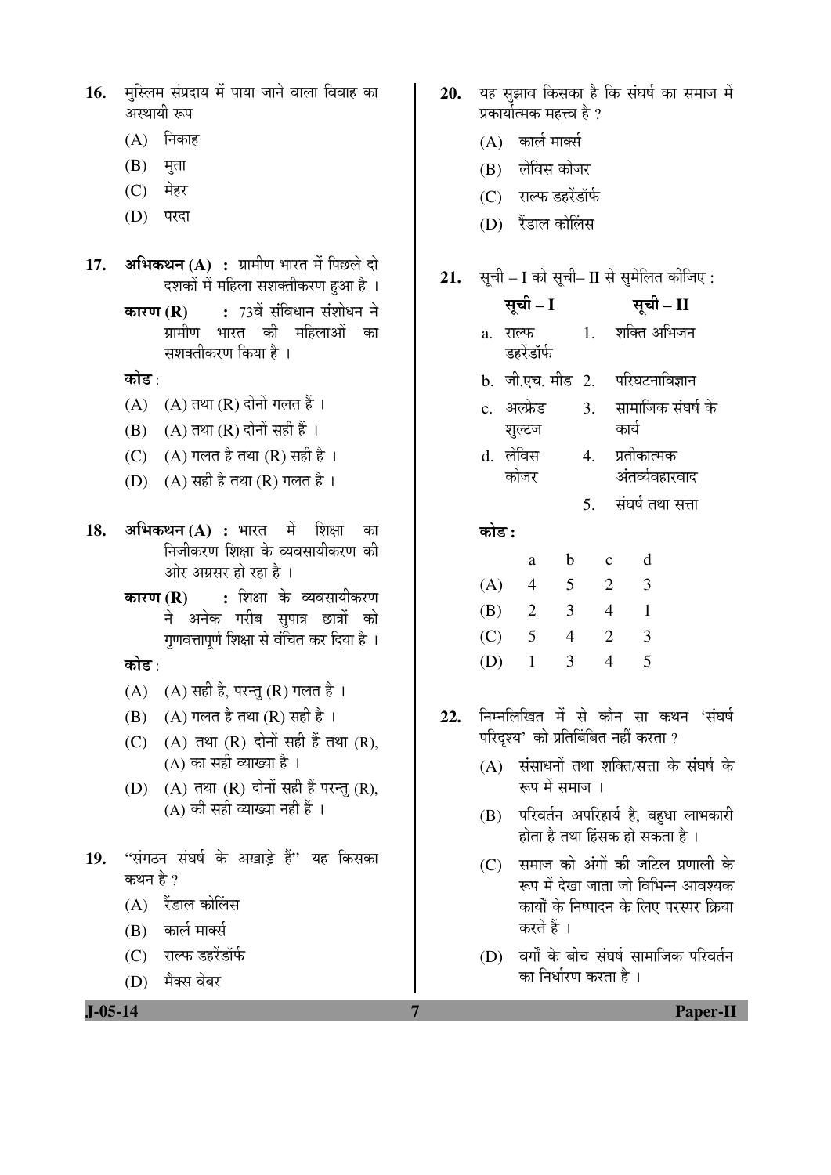| 16. मुस्लिम संप्रदाय में पाया जाने वाला विवाह का |  |  |  |  |
|--------------------------------------------------|--|--|--|--|
| अस्थायी रूप                                      |  |  |  |  |

- $(A)$  निकाह
- $(B)$  मृता
- (C) मेहर
- (D) परदा
- **17. अभिकथन (A) : ग्रा**मीण भारत में पिछले दो दशकों में महिला सशक्तीकरण हुआ है ।
	- **कारण (R) : 73वें संविधान संशोधन ने** ग्रामीण भारत की महिलाओं का सशक्तीकरण किया है ।

कोड :

- $(A)$   $(A)$  तथा  $(R)$  दोनों गलत हैं।
- $(B)$   $(A)$  तथा  $(R)$  दोनों सही हैं ।
- (C)  $(A)$  गलत है तथा  $(R)$  सही है।
- (D)  $(A)$  सही है तथा  $(R)$  गलत है।
- **18. अभिकथन (A) :** भारत में शिक्षा का निजीकरण शिक्षा के व्यवसायीकरण की ओर अग्रसर हो रहा है ।
	- **कारण (R) : शि**क्षा के व्यवसायीकरण ने अनेक गरीब सुपात्र छात्रों को गुणवत्तापूर्ण शिक्षा से वंचित कर दिया है ।

कोड :

- (A)  $(A)$  सही है, परन्तु (R) गलत है।
- $(B)$   $(A)$  गलत है तथा  $(R)$  सही है ।
- $(C)$   $(A)$  तथा  $(R)$  दोनों सही हैं तथा  $(R)$ ,  $(A)$  का सही व्याख्या है।
- $(D)$   $(A)$  तथा  $(R)$  दोनों सही हैं परन्तु  $(R)$ ,  $(A)$  की सही व्याख्या नहीं हैं ।
- 19. "संगठन संघर्ष के अखाड़े हैं" यह किसका कथन है  $\gamma$ 
	- $(A)$  रैंडाल कोलिंस
	- $(B)$  कार्ल मार्क्स
	- (C) राल्फ डहरेंडॉर्फ
	- (D) मैक्स वेबर
- 20. यह सझाव किसका है कि संघर्ष का समाज में प्रकार्यात्मक महत्त्व है ?
	- $(A)$  कार्ल मार्क्स
	- (B) लेविस कोजर
	- (C) राल्फ डहरेंडॉर्फ
	- (D) रैंडाल कोलिस

## **21.** सूची – I को सूची– II से सुमेलित कीजिए:

|     |       |          | सूची – I               |                 |    |                |                                      | सूची – II                        |                                           |
|-----|-------|----------|------------------------|-----------------|----|----------------|--------------------------------------|----------------------------------|-------------------------------------------|
|     |       |          | a. राल्फ<br>डहरेंडॉर्फ |                 |    |                |                                      | 1. शक्ति अभिजन                   |                                           |
|     |       |          |                        |                 |    |                |                                      | b. जी.एच. मीड 2.  परिघटनाविज्ञान |                                           |
|     |       |          | c. अल्फ्रेड<br>शुल्टज  |                 |    |                | कार्य                                | 3. सामाजिक संघर्ष के             |                                           |
|     |       | d. लेविस | कोजर                   |                 | 4. |                | प्रतीकात्मक                          | अंतर्व्यवहारवाद                  |                                           |
|     |       |          |                        |                 |    |                |                                      | 5. संघर्ष तथा सत्ता              |                                           |
|     | कोड : |          |                        |                 |    |                |                                      |                                  |                                           |
|     |       |          | a                      | $\mathbf b$     |    | $\mathbf{C}$   | $\mathbf d$                          |                                  |                                           |
|     | (A)   |          | $\overline{4}$         | $5\overline{)}$ |    | $\overline{2}$ | $\overline{\mathbf{3}}$              |                                  |                                           |
|     |       |          | $(B)$ 2 3              |                 |    | $\overline{4}$ | $\overline{1}$                       |                                  |                                           |
|     |       |          | (C) 5                  | $\overline{4}$  |    | $\overline{2}$ | $\overline{\mathbf{3}}$              |                                  |                                           |
|     | (D)   |          | $\overline{1}$         | 3               |    | $\overline{4}$ | 5                                    |                                  |                                           |
| 22. |       |          |                        |                 |    |                | परिदृश्य' को प्रतिबिंबित नहीं करता ? |                                  | निम्नलिखित में से कौन सा कथन 'संघर्ष      |
|     |       |          | रूप में समाज ।         |                 |    |                |                                      |                                  | (A) संसाधनों तथा शक्ति/सत्ता के संघर्ष के |

- (B) परिवर्तन अपरिहार्य है, बहुधा लाभकारी होता है तथा हिंसक हो सकता है ।
- $(C)$  समाज को अंगों की जटिल प्रणाली के रूप में देखा जाता जो विभिन्न आवश्यक कार्यों के निष्पादन के लिए परस्पर क्रिया करते हैं ।
- $(D)$  वर्गों के बीच संघर्ष सामाजिक परिवर्तन का निर्धारण करता है $\perp$

**J-05-14 7 Paper-II**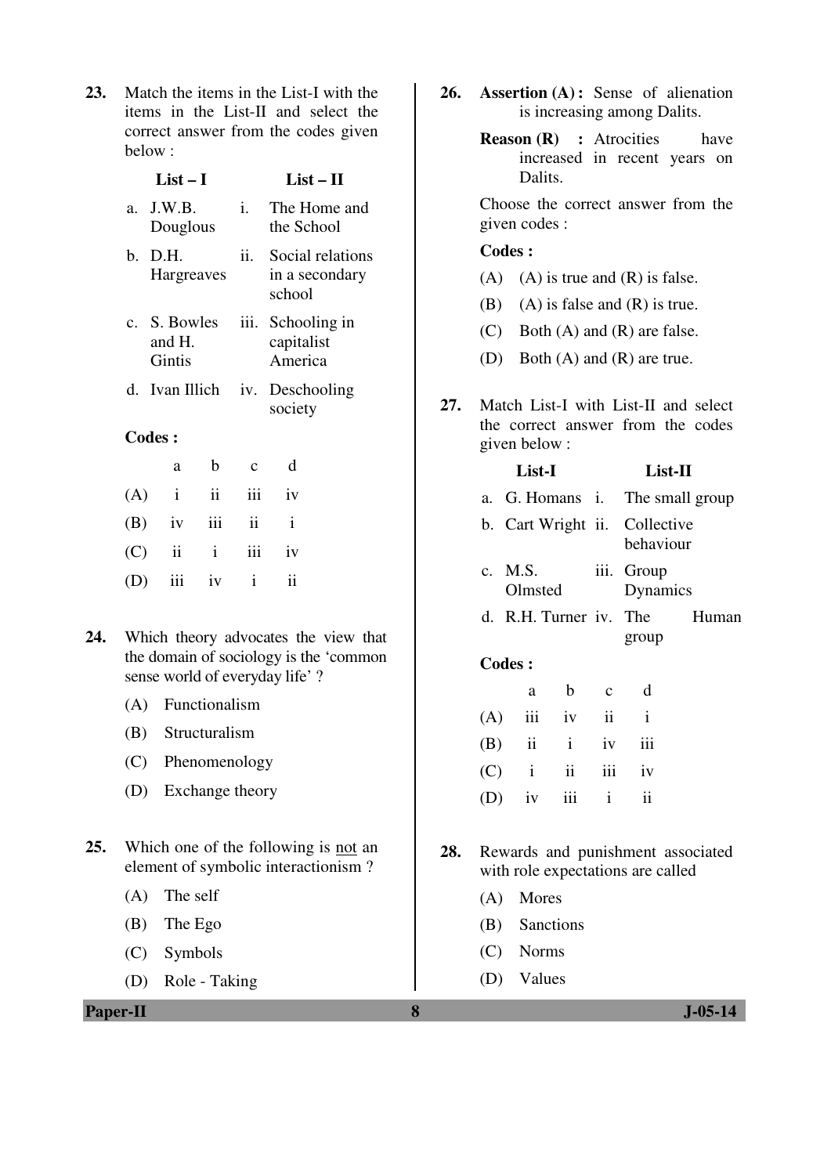**23.** Match the items in the List-I with the items in the List-II and select the correct answer from the codes given below :

|    | $List-I$                         |      | $List-II$                                    |
|----|----------------------------------|------|----------------------------------------------|
|    | $a.$ J.W.B.<br>Douglous          | i.   | The Home and<br>the School                   |
| h. | D.H.<br><b>Hargreaves</b>        | ii.  | Social relations<br>in a secondary<br>school |
|    | c. S. Bowles<br>and H.<br>Gintis | iii. | Schooling in<br>capitalist<br>America        |
|    | d. Ivan Illich                   |      | iv. Deschooling<br>society                   |
|    |                                  |      |                                              |

## **Codes :**

| a                  | b c d |  |
|--------------------|-------|--|
| $(A)$ i ii iii iv  |       |  |
| $(B)$ iv iii ii i  |       |  |
| $(C)$ ii ii iii iv |       |  |
| $(D)$ iii iv i ii  |       |  |

- **24.** Which theory advocates the view that the domain of sociology is the 'common sense world of everyday life' ?
	- (A) Functionalism
	- (B) Structuralism
	- (C) Phenomenology
	- (D) Exchange theory
- **25.** Which one of the following is not an element of symbolic interactionism ?
	- (A) The self
	- (B) The Ego
	- (C) Symbols
	- (D) Role Taking
- **26. Assertion (A) :** Sense of alienation is increasing among Dalits.
	- **Reason (R) :** Atrocities have increased in recent years on Dalits.

 Choose the correct answer from the given codes :

### **Codes :**

- (A) (A) is true and  $(R)$  is false.
- (B) (A) is false and  $(R)$  is true.
- (C) Both (A) and (R) are false.
- (D) Both (A) and (R) are true.
- **27.** Match List-I with List-II and select the correct answer from the codes given below :

|     | List-I                          |             | List-II      |                        |       |  |
|-----|---------------------------------|-------------|--------------|------------------------|-------|--|
|     | a. G. Homans i. The small group |             |              |                        |       |  |
|     | b. Cart Wright ii. Collective   |             |              | behaviour              |       |  |
|     | c. M.S.<br>Olmsted              |             |              | iii. Group<br>Dynamics |       |  |
|     | d. R.H. Turner iv. The          |             |              |                        | Human |  |
|     |                                 |             |              | group                  |       |  |
|     | <b>Codes:</b>                   |             |              |                        |       |  |
|     | a                               | b           | $\mathbf{C}$ | d                      |       |  |
| (A) |                                 | iii iv ii i |              |                        |       |  |
|     | $(B)$ ii i                      |             | iv           | iii                    |       |  |
| (C) | $\mathbf{i}$                    | ii          | iii          | iv                     |       |  |
|     |                                 |             |              |                        |       |  |

**28.** Rewards and punishment associated with role expectations are called

 $(D)$  iv iii i ii

- (A) Mores
- (B) Sanctions
- (C) Norms
- (D) Values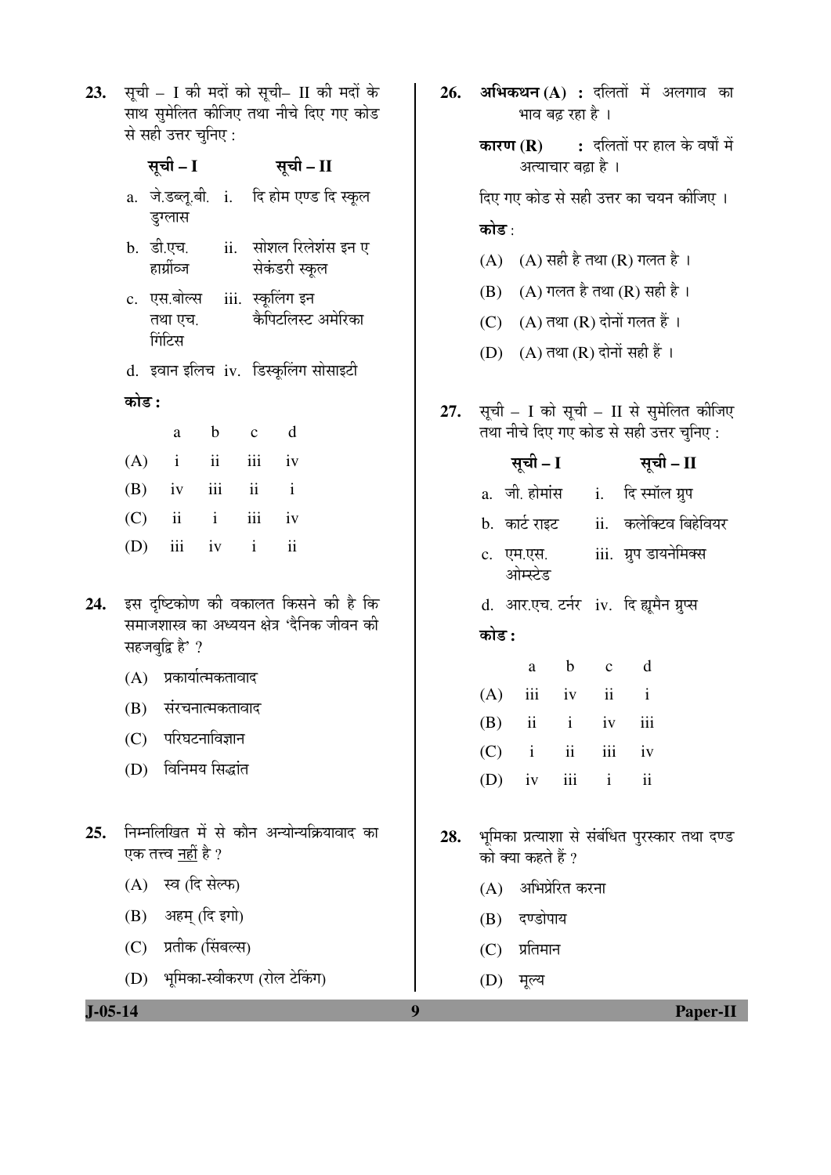**23.** सूची – I की मदों को सूची– II की मदों के<br>साथ सुमेलित कीजिए तथा नीचे दिए गए कोड 

|               | स सहा उत्तर चुनिए :                                                      | <b>कारण (R) :</b> दलितों पर हाल के वर्षों में                                            |
|---------------|--------------------------------------------------------------------------|------------------------------------------------------------------------------------------|
|               | सूची – I<br>सूची – II                                                    | अत्याचार बढ़ा है ।                                                                       |
|               | a. जे.डब्लू.बी. i. दि होम एण्ड दि स्कूल<br>डुग्लास                       | दिए गए कोड से सही उत्तर का चयन कीजिए ।                                                   |
|               | b. डी.एच.<br>ii.   सोशल रिलेशंस इन ए<br>हार्प्रीव्ज<br>सेकंडरी स्कूल     | कोड :<br>$(A)$ $(A)$ सही है तथा $(R)$ गलत है ।<br>$(A)$ गलत है तथा $(R)$ सही है ।<br>(B) |
|               | c. एस.बोल्स iii. स्कूलिंग इन<br>कैपिटलिस्ट अमेरिका<br>तथा एच.            | (C) (A) तथा (R) दोनों गलत हैं ।                                                          |
|               | गिंटिस                                                                   | (D) (A) तथा (R) दोनों सही हैं ।                                                          |
|               | d. इवान इलिच iv. डिस्कूलिंग सोसाइटी                                      |                                                                                          |
|               | कोड :<br>d<br>$\mathbf b$<br>$\mathbf c$<br>a                            | सूची – I को सूची – II से सुमेलित कीजिए<br>27.<br>तथा नीचे दिए गए कोड से सही उत्तर चुनिए: |
|               | $\mathbf{ii}$<br>iii<br>(A)<br>$\mathbf{i}$<br>iv                        | सूची – I<br>सूची – II                                                                    |
|               | iii<br>$\overline{\mathbf{u}}$<br>(B)<br>$\mathbf{i}$<br>iv              | a. जी. होमांस 1. दिस्मॉल ग्रुप                                                           |
|               | $\mathbf{ii}$<br>$\,$ i $\,$<br>iii<br>(C)<br>iv                         | ii. कलेक्टिव बिहेवियर<br>b.  कार्ट राइट                                                  |
|               | iii<br>(D)<br>$\mathbf{i}$<br>$\ddot{\rm n}$<br>iv                       | iii.  ग्रुप डायनेमिक्स<br>c. एम.एस.<br>ओम्स्टेड                                          |
| 24.           | इस दृष्टिकोण की वकालत किसने की है कि                                     | d. आर.एच. टर्नर iv. दि ह्यूमैन ग्रुप्स                                                   |
|               | समाजशास्त्र का अध्ययन क्षेत्र 'दैनिक जीवन की<br>सहजबुद्धि है' ?          | कोड :                                                                                    |
|               | प्रकार्यात्मकतावाद<br>(A)                                                | d<br>$\mathbf b$<br>$\mathbf{C}$<br>a                                                    |
|               | (B)<br>संरचनात्मकतावाद                                                   | ii<br>iii<br>$\mathbf{i}$<br>(A)<br>iv                                                   |
|               | परिघटनाविज्ञान<br>(C)                                                    | iii<br>(B)<br>$\overline{\mathbf{u}}$<br>$\mathbf{i}$<br>iv                              |
|               | विनिमय सिद्धांत<br>(D)                                                   | ii<br>iii<br>(C)<br>$\mathbf{i}$<br>iv                                                   |
|               |                                                                          | (D)<br>$iv$ $iii$ $i$<br>$\overline{\mathbf{u}}$                                         |
| 25.           | निम्नलिखित में से कौन अन्योन्यक्रियावाद का<br>एक तत्त्व <u>नहीं</u> है ? | भूमिका प्रत्याशा से संबंधित पुरस्कार तथा दण्ड<br>28.<br>को क्या कहते हैं ?               |
|               | स्व (दि सेल्फ)<br>(A)                                                    | अभिप्रेरित करना<br>(A)                                                                   |
|               | अहम् (दि इगो)<br>(B)                                                     | दण्डोपाय<br>(B)                                                                          |
|               | (C) प्रतीक (सिंबल्स)                                                     | $(C)$ प्रतिमान                                                                           |
|               | (D) भूमिका-स्वीकरण (रोल टेकिंग)                                          | मूल्य<br>(D)                                                                             |
| $J - 05 - 14$ |                                                                          | 9<br><b>Paper-II</b>                                                                     |

26. अभिकथन $(A)$  : दलितों में अलगाव का

भाव बढ़ रहा है ।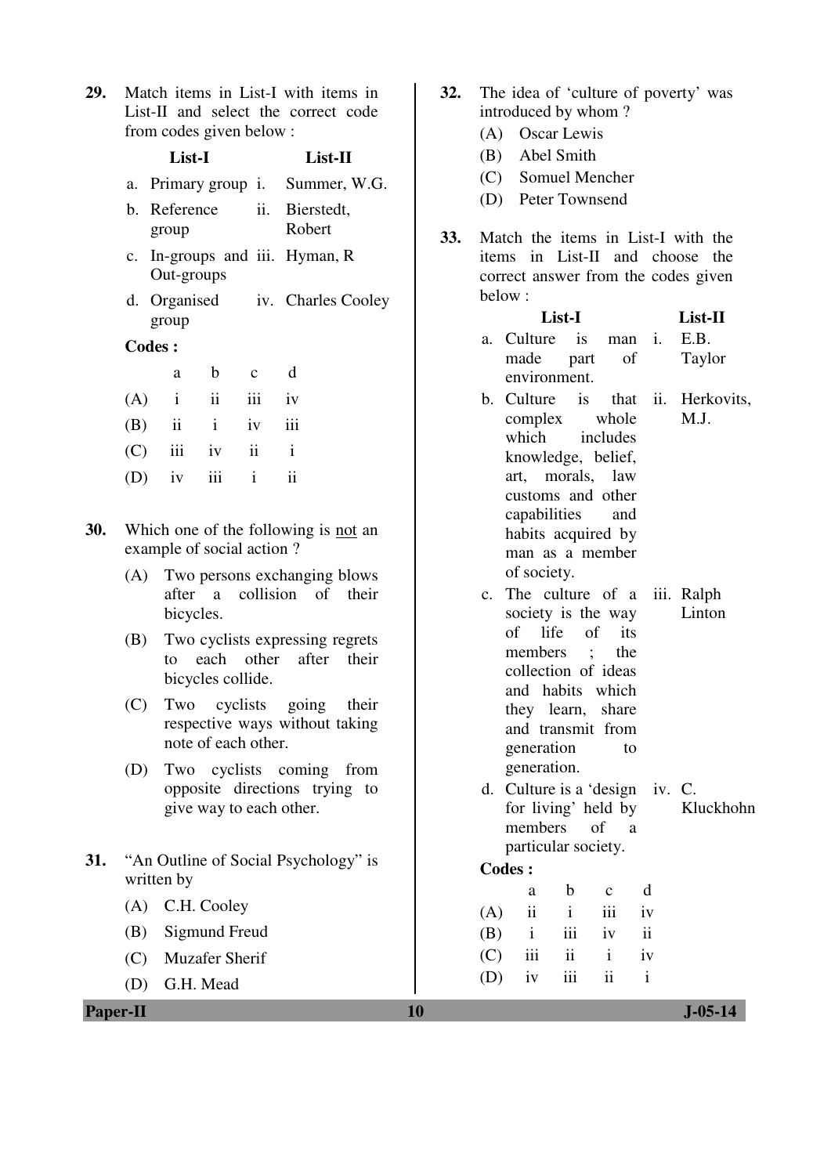**29.** Match items in List-I with items in List-II and select the correct code from codes given below :

|     | List-I        | List-II             |                         |                                         |
|-----|---------------|---------------------|-------------------------|-----------------------------------------|
|     |               |                     |                         | a. Primary group <i>i.</i> Summer, W.G. |
|     | group         |                     |                         | b. Reference ii. Bierstedt,<br>Robert   |
|     | Out-groups    |                     |                         | c. In-groups and iii. Hyman, R          |
|     | group         |                     |                         | d. Organised iv. Charles Cooley         |
|     | <b>Codes:</b> |                     |                         |                                         |
|     | a             | $\mathbf{b}$        | $\mathbf{c}$            | d                                       |
| (A) | $\mathbf{i}$  | $\ddot{\mathbf{i}}$ | iii                     | iv                                      |
|     | $(B)$ ii      | $\,\mathrm{i}$      | iv                      | iii                                     |
| (C) | iii           | iv                  | $\overline{\mathbf{u}}$ | $\mathbf{i}$                            |
|     | iv            | iii                 | $\mathbf{i}$            | $\ddot{\mathbf{i}}$                     |
|     |               |                     |                         |                                         |

Cooley

- **30.** Which one of the following is not an example of social action ?
	- (A) Two persons exchanging blows after a collision of their bicycles.
	- (B) Two cyclists expressing regrets to each other after their bicycles collide.
	- (C) Two cyclists going their respective ways without taking note of each other.
	- (D) Two cyclists coming from opposite directions trying to give way to each other.
- **31.** "An Outline of Social Psychology" is written by
	- (A) C.H. Cooley
	- (B) Sigmund Freud
	- (C) Muzafer Sherif
	- (D) G.H. Mead
- **32.** The idea of 'culture of poverty' was introduced by whom ?
	- (A) Oscar Lewis
	- (B) Abel Smith
	- (C) Somuel Mencher
	- (D) Peter Townsend
- **33.** Match the items in List-I with the items in List-II and choose the correct answer from the codes given below :

|                | List-I                           |                     |              | List-II      |                      |  |
|----------------|----------------------------------|---------------------|--------------|--------------|----------------------|--|
| a.             | Culture                          | is                  | man          | i.           | E.B.                 |  |
|                | made                             | part                | of           |              | Taylor               |  |
|                | environment.                     |                     |              |              |                      |  |
| b.             | Culture                          | is                  | that         | ii.          | Herkovits,           |  |
|                | complex                          |                     | whole        |              | M.J.                 |  |
|                | which                            |                     | includes     |              |                      |  |
|                | knowledge, belief,               |                     |              |              |                      |  |
|                | art, morals,                     |                     | law          |              |                      |  |
|                | customs and other                |                     |              |              |                      |  |
|                | capabilities                     |                     | and          |              |                      |  |
|                | habits acquired by               |                     |              |              |                      |  |
|                | man as a member                  |                     |              |              |                      |  |
|                | of society.                      |                     |              |              |                      |  |
| $\mathbf{c}$ . | The culture of a                 |                     |              |              | iii. Ralph<br>Linton |  |
|                | society is the way<br>of life of |                     | its          |              |                      |  |
|                | members                          | $\ddots$            | the          |              |                      |  |
|                | collection of ideas              |                     |              |              |                      |  |
|                | and habits which                 |                     |              |              |                      |  |
|                | they learn, share                |                     |              |              |                      |  |
|                | and transmit from                |                     |              |              |                      |  |
|                | generation                       |                     | to           |              |                      |  |
|                | generation.                      |                     |              |              |                      |  |
| d.             | Culture is a 'design             |                     |              | iv. C.       |                      |  |
|                | for living' held by              |                     |              |              | Kluckhohn            |  |
|                | members                          | of                  | a            |              |                      |  |
|                | particular society.              |                     |              |              |                      |  |
|                | <b>Codes:</b>                    |                     |              |              |                      |  |
|                | a                                | b                   | $\mathbf{C}$ | d            |                      |  |
| (A)            | ii                               | $\mathbf{i}$        | iii          | iv           |                      |  |
| (B)            | $\mathbf{i}$                     | iii                 | iv           | ii           |                      |  |
| (C)            | iii                              | $\ddot{\mathbf{i}}$ | $\mathbf{i}$ | iv           |                      |  |
| (D)            | iv                               | iii                 | ii           | $\mathbf{i}$ |                      |  |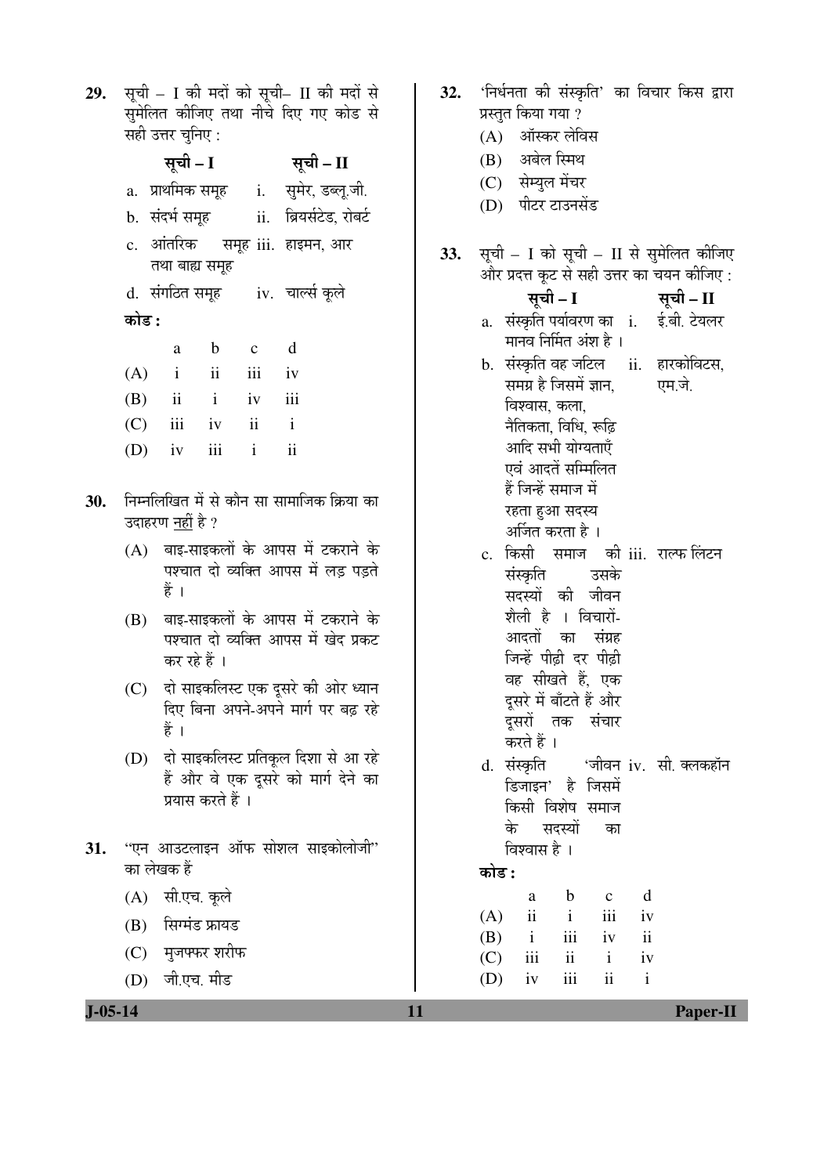29. सूची - I की मदों को सूची- II की मदों से सुमेलित कीजिए तथा नीचे दिए गए कोड से सही उत्तर चुनिए:

|       | सूची – I       |                   | सूची – II                                   |
|-------|----------------|-------------------|---------------------------------------------|
|       |                |                   | a. प्राथमिक समूह     i.    सुमेर, डब्लू.जी. |
|       | b. संदर्भ समूह |                   | ii.     ब्रियर्सटेड, रोबर्ट                 |
|       |                |                   | c. आंतरिक समूह iii. हाइमन, आर               |
|       | तथा बाह्य समूह |                   | d. संगठित समूह (iv.) चार्ल्स कूले           |
| कोड : |                |                   |                                             |
|       |                | a b c d           |                                             |
|       |                | $(A)$ i ii iii iv |                                             |
|       |                | $(B)$ ii i iv iii |                                             |
|       |                | $(C)$ iii iv ii i |                                             |
|       |                | $(D)$ iv iii i ii |                                             |
|       |                |                   | निम्नलिखित में से कौन सा सामाजिक क्रिया व   |

- 30. का उदाहरण <u>नहीं</u> है ?
	- (A) बाइ-साइकलों के आपस में टकराने के पश्चात दो व्यक्ति आपस में लड़ पड़ते हैं ।
	- (B) बाइ-साइकलों के आपस में टकराने के पश्चात दो व्यक्ति आपस में खेद प्रकट कर रहे हैं ।
	- (C) दो साइकलिस्ट एक दूसरे की ओर ध्यान दिए बिना अपने-अपने मार्ग पर बढ़ रहे हैं।
	- (D) दो साइकलिस्ट प्रतिकृल दिशा से आ रहे हैं और वे एक दुसरे को मार्ग देने का प्रयास करते हैं ।
- $31.$ ''एन आउटलाइन ऑफ सोशल साइकोलोजी'' का लेखक हैं
	- (A) सी.एच. कूले
	- $(B)$  सिग्मंड फ्रायड
	- (C) मुजफ्फर शरीफ
	- (D) जी.एच. मीड
- 'निर्धनता की संस्कृति' का विचार किस द्वारा  $32.$ प्रस्तुत किया गया ?
	- (A) ऑस्कर लेविस
	- (B) अबेल स्मिथ
	- (C) सेम्युल मेंचर
	- (D) पीटर टाउनसेंड
- सूची I को सूची II से सुमेलित कीजिए 33. और प्रदत्त कूट से सही उत्तर का चयन कीजिए :
	- सूची I सूची – II a. संस्कृति पर्यावरण का i. ई.बी. टेयलर मानव निर्मित अंश है ।
	- b. संस्कृति वह जटिल ii. हारकोविटस, समग्र है जिसमें ज्ञान, एम.जे. विश्वास, कला, नैतिकता, विधि, रूढ़ि आदि सभी योग्यताएँ एवं आदतें सम्मिलित हैं जिन्हें समाज में रहता हुआ सदस्य अर्जित करता है ।
	- c. किसी समाज की iii. राल्फ लिंटन संस्कृति उसके सदस्यों की जीवन शैली है । विचारों-आदतों का संग्रह जिन्हें पीढ़ी दर पीढ़ी वह सीखते हैं. एक दसरे में बाँटते हैं और दूसरों तक संचार करते हैं । 'जीवन iv. सी. क्लकहॉन d. संस्कृति डिजाइन' है जिसमें
	- किसी विशेष समाज के सदस्यों का विश्वास है ।

# कोड :

|     | a   | b   | $\mathbf c$ | d  |
|-----|-----|-----|-------------|----|
| (A) | ii  | Ť   | 111         | iv |
| (B) | i   | 111 | iv          | ii |
| (C) | 111 | ii  | Ť           | iv |
| (D) | iv  | 111 | 11          | i. |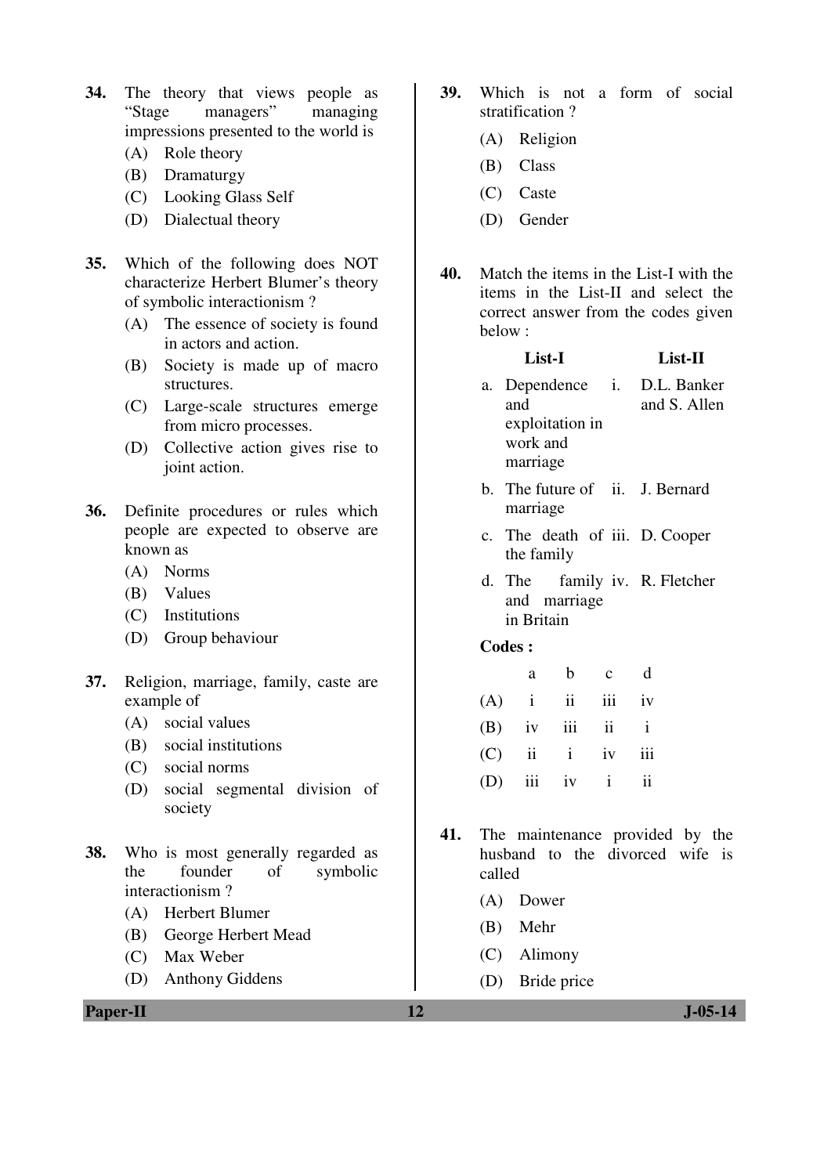- **34.** The theory that views people as "Stage managers" managing impressions presented to the world is
	- (A) Role theory
	- (B) Dramaturgy
	- (C) Looking Glass Self
	- (D) Dialectual theory
- **35.** Which of the following does NOT characterize Herbert Blumer's theory of symbolic interactionism ?
	- (A) The essence of society is found in actors and action.
	- (B) Society is made up of macro structures.
	- (C) Large-scale structures emerge from micro processes.
	- (D) Collective action gives rise to joint action.
- **36.** Definite procedures or rules which people are expected to observe are known as
	- (A) Norms
	- (B) Values
	- (C) Institutions
	- (D) Group behaviour
- **37.** Religion, marriage, family, caste are example of
	- (A) social values
	- (B) social institutions
	- (C) social norms
	- (D) social segmental division of society
- **38.** Who is most generally regarded as the founder of symbolic interactionism ?
	- (A) Herbert Blumer
	- (B) George Herbert Mead
	- (C) Max Weber
	- (D) Anthony Giddens

**Paper-II 12 J-05-14** 

- **39.** Which is not a form of social stratification ?
	- (A) Religion
	- (B) Class
	- (C) Caste
	- (D) Gender
- **40.** Match the items in the List-I with the items in the List-II and select the correct answer from the codes given below :

### **List-I List-II**

- a. Dependence and exploitation in work and marriage i. D.L. Banker and S. Allen
- b. The future of ii. J. Bernard marriage
- c. The death of iii. D. Cooper the family
- d. The and marriage in Britain family iv. R. Fletcher

#### **Codes :**

| a |                   | b c d |  |
|---|-------------------|-------|--|
|   | $(A)$ i ii iii iv |       |  |
|   | $(B)$ iv iii ii i |       |  |
|   | $(C)$ ii i iv iii |       |  |
|   | $(D)$ iii iv i ii |       |  |

- **41.** The maintenance provided by the husband to the divorced wife is called
	- (A) Dower
	- (B) Mehr
	- (C) Alimony
	- (D) Bride price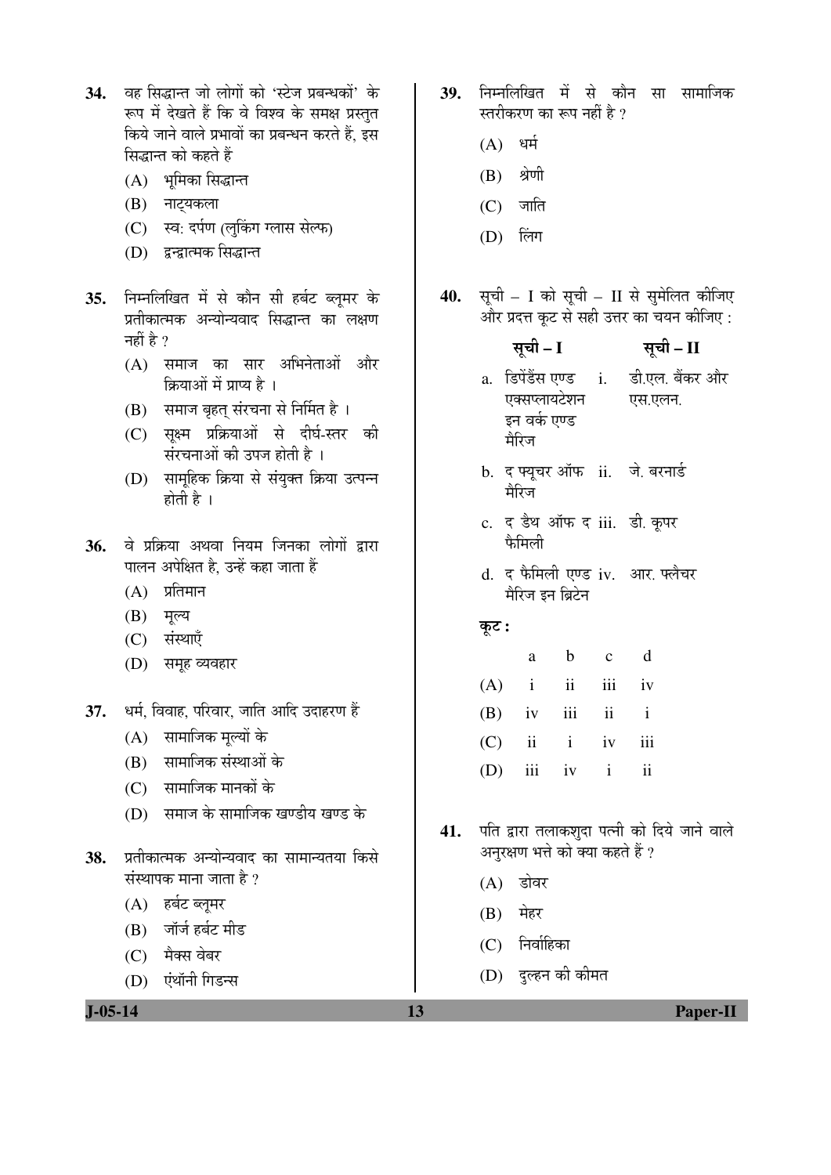- 34. वह सिद्धान्त जो लोगों को 'स्टेज प्रबन्धकों' के रूप में देखते हैं कि वे विश्व के समक्ष प्रस्तत किये जाने वाले प्रभावों का प्रबन्धन करते हैं. इस सिद्धान्त को कहते हैं
	- $(A)$  भमिका सिद्धान्त
	- (B) नाट्यकला
	- (C) स्व: दर्पण (लुकिंग ग्लास सेल्फ)
	- (D) द्वन्द्वात्मक सिद्धान्त
- 35. निम्नलिखित में से कौन सी हर्बट ब्लुमर के प्रतीकात्मक अन्योन्यवाद सिद्धान्त का लक्षण नहीं है  $\gamma$ 
	- $(A)$  समाज का सार अभिनेताओं और क्रियाओं में प्राप्य है ।
	- (B) समाज बृहत् संरचना से निर्मित है।
	- (C) सक्ष्म प्रक्रियाओं से दीर्घ-स्तर की संरचनाओं की उपज होती है ।
	- (D) सामूहिक क्रिया से संयुक्त क्रिया उत्पन्न होती है $\perp$
- 36. वे प्रक्रिया अथवा नियम जिनका लोगों द्वारा पालन अपेक्षित है. उन्हें कहा जाता हैं
	- $(A)$  प्रतिमान
	- $(B)$  मूल्य
	- (C) संस्थाएँ
	- (D) समह व्यवहार
- 37. धर्म. विवाह. परिवार. जाति आदि उदाहरण हैं
	- $(A)$  सामाजिक मुल्यों के
	- (B) सामाजिक संस्थाओं के
	- (C) सामाजिक मानकों के
	- (D) समाज के सामाजिक खण्डीय खण्ड के
- 38. प्रतीकात्मक अन्योन्यवाद का सामान्यतया किसे संस्थापक माना जाता है ?
	- (A) हर्बट ब्लूमर
	- (B) जॉर्ज हर्बट मीड
	- (C) मैक्स वेबर
	- (D) एंथॉनी गिडन्स
- 39. निम्नलिखित में से कौन सा सामाजिक स्तरीकरण का रूप नहीं है ?
	- $(A)$  धर्म
	- $(B)$  श्रेणी
	- $(C)$  जाति
	- $(D)$  लिंग
- 40. सूची I को सूची II से सुमेलित कीजिए और प्रदत्त कूट से सही उत्तर का चयन कीजिए :
	- सूची I सूची II a. डिपेंडेंस एण्ड एक्सप्लायटेशन इन वर्क एण्ड मैरिज i. डी.एल. बैंकर और एस.एलन.
	- b. द फ्यूचर ऑफ**ं**ii. जे. बरनार्ड मैरिज
	- c. द डैथ ऑफ द iii. डी. कूपर फैमिली
	- d. द फैमिली एण्ड iv. आर. फ्लैचर मैरिज इन ब्रिटेन

### Ûæú™ü **:**

| a |                   | b c d |  |
|---|-------------------|-------|--|
|   | $(A)$ i ii iii iv |       |  |
|   | $(B)$ iv iii ii i |       |  |
|   | $(C)$ ii i iv iii |       |  |
|   | $(D)$ iii iv i ii |       |  |

- 41. पति द्वारा तलाकशुदा पत्नी को दिये जाने वाले अनुरक्षण भत्ते को क्या कहते हैं ?
	- $(A)$  डोवर
	- $(B)$  मेहर
	- $(C)$  निर्वाहिका
	- (D) दुल्हन की कीमत

**J-05-14 13 Paper-II**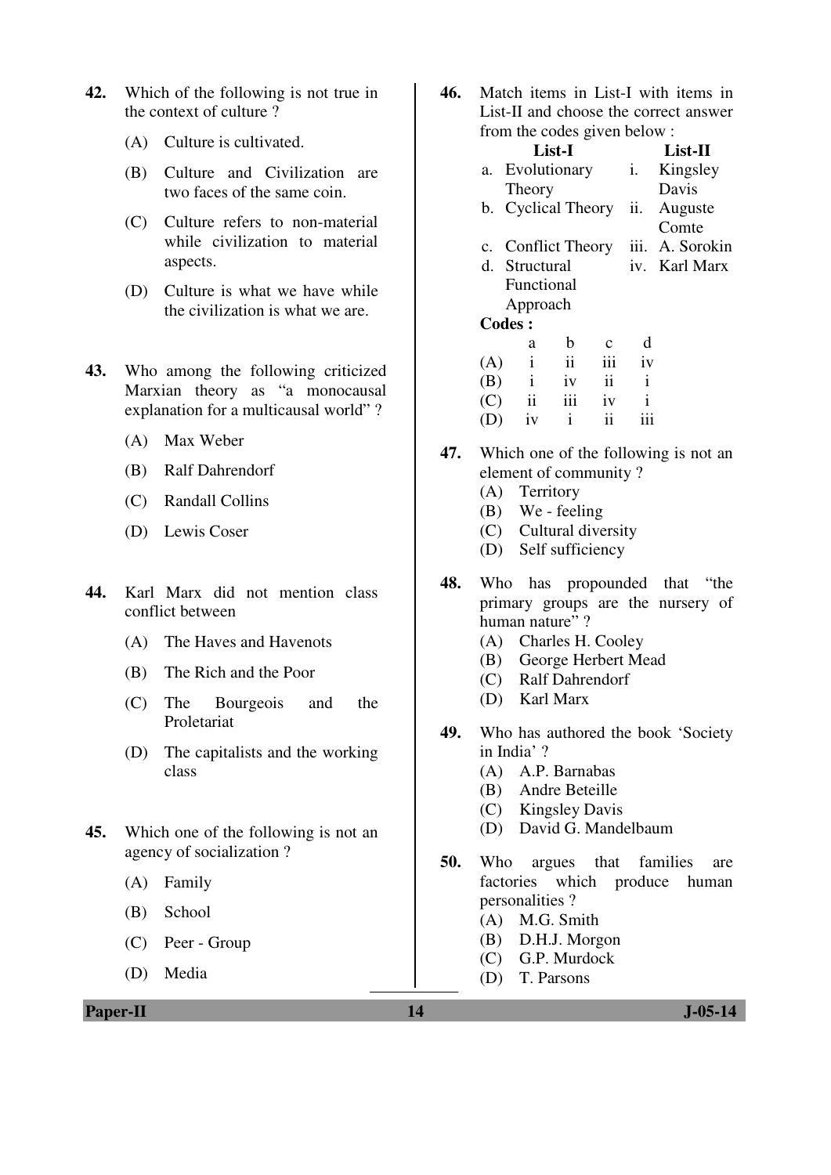- **42.** Which of the following is not true in the context of culture ?
	- (A) Culture is cultivated.
	- (B) Culture and Civilization are two faces of the same coin.
	- (C) Culture refers to non-material while civilization to material aspects.
	- (D) Culture is what we have while the civilization is what we are.
- **43.** Who among the following criticized Marxian theory as "a monocausal explanation for a multicausal world" ?
	- (A) Max Weber
	- (B) Ralf Dahrendorf
	- (C) Randall Collins
	- (D) Lewis Coser
- **44.** Karl Marx did not mention class conflict between
	- (A) The Haves and Havenots
	- (B) The Rich and the Poor
	- (C) The Bourgeois and the Proletariat
	- (D) The capitalists and the working class
- **45.** Which one of the following is not an agency of socialization ?
	- (A) Family
	- (B) School
	- (C) Peer Group
	- (D) Media

**46.** Match items in List-I with items in List-II and choose the correct answer from the codes given below  $\cdot$ 

| $\frac{1}{2}$ and $\frac{1}{2}$ could give the below. |               |                         |                    |               |                |                 |
|-------------------------------------------------------|---------------|-------------------------|--------------------|---------------|----------------|-----------------|
|                                                       |               |                         | List-I             |               |                | $List-II$       |
|                                                       |               |                         | a. Evolutionary    |               | $\mathbf{i}$ . | Kingsley        |
|                                                       |               | Theory                  |                    |               |                | Davis           |
|                                                       |               |                         | b. Cyclical Theory |               | ii.            | Auguste         |
|                                                       |               |                         |                    |               |                | Comte           |
|                                                       |               | c. Conflict Theory      |                    |               |                | iii. A. Sorokin |
|                                                       |               | d. Structural           |                    |               |                | iv. Karl Marx   |
|                                                       |               | Functional              |                    |               |                |                 |
|                                                       |               | Approach                |                    |               |                |                 |
|                                                       | <b>Codes:</b> |                         |                    |               |                |                 |
|                                                       |               | a                       | b                  | $\mathbf c$   | d              |                 |
| (A)                                                   |               | $\mathbf{i}$            | $\mathbf{ii}$      | iii           | iv             |                 |
| (B)                                                   |               | $\mathbf{i}$            | iv                 | $\mathbf{ii}$ | $\mathbf{i}$   |                 |
| (C)                                                   |               | $\overline{\mathbf{u}}$ | iii                | 1V            | $\mathbf{i}$   |                 |
| (D)                                                   |               | iv                      | $\mathbf{i}$       | ii            | iii            |                 |
|                                                       |               |                         |                    |               |                |                 |

- **47.** Which one of the following is not an element of community ?
	- (A) Territory
	- (B) We feeling
	- (C) Cultural diversity
	- (D) Self sufficiency
- **48.** Who has propounded that "the primary groups are the nursery of human nature"?
	- (A) Charles H. Cooley
	- (B) George Herbert Mead
	- (C) Ralf Dahrendorf
	- (D) Karl Marx
- **49.** Who has authored the book 'Society in India' ?
	- (A) A.P. Barnabas
	- (B) Andre Beteille
	- (C) Kingsley Davis
	- (D) David G. Mandelbaum
- **50.** Who argues that families are factories which produce human personalities ?
	- (A) M.G. Smith
	- (B) D.H.J. Morgon
	- (C) G.P. Murdock
	- (D) T. Parsons

**Paper-II** J-05-14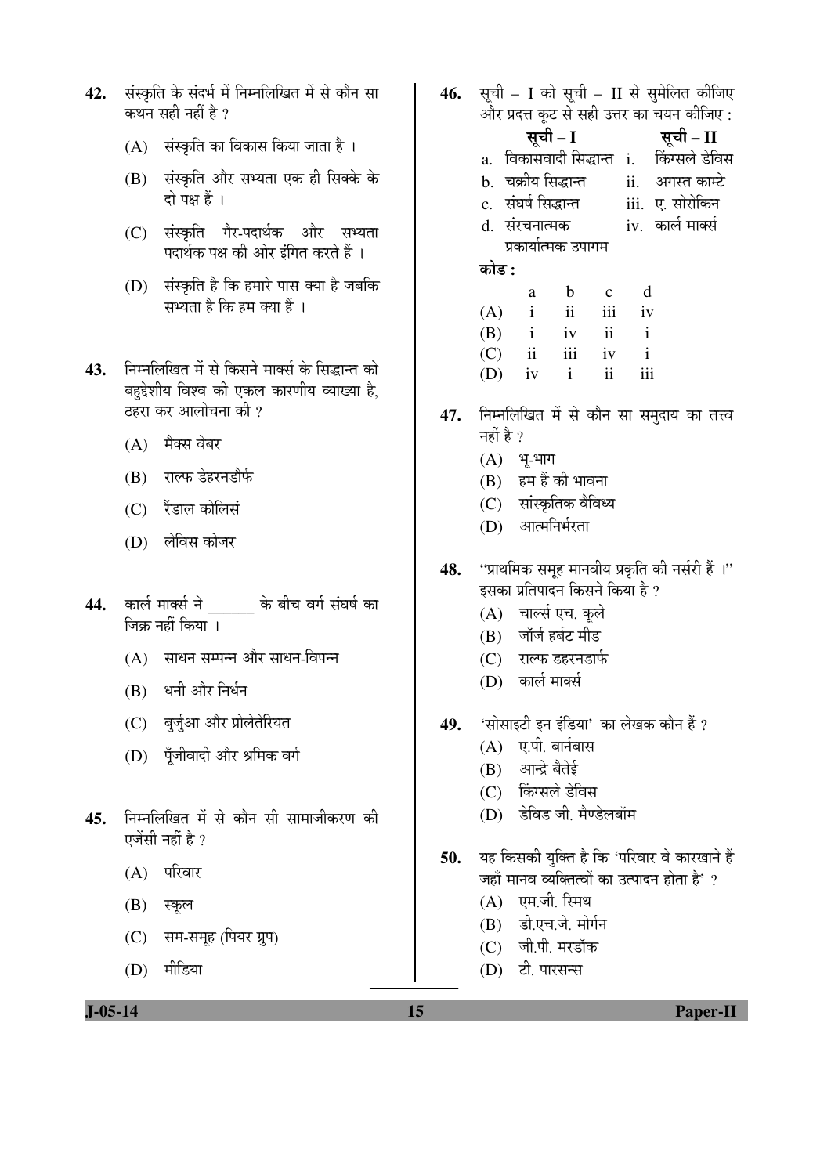- 42. संस्कृति के संदर्भ में निम्नलिखित में से कौन सा कथन सही नहीं है ?
	- $(A)$  संस्कृति का विकास किया जाता है।
	- (B) संस्कृति और सभ्यता एक ही सिक्के के दो पक्ष हैं।
	- (C) संस्कृति गैर-पदार्थक और सभ्यता पदार्थक पक्ष की ओर इंगित करते हैं ।
	- (D) संस्कृति है कि हमारे पास क्या है जबकि सभ्यता है कि हम क्या हैं ।
- 43. निम्नलिखित में से किसने मार्क्स के सिद्धान्त को बहद्देशीय विश्व की एकल कारणीय व्याख्या है. टहरा कर आलोचना की ?
	- $(A)$  मैक्स वेबर
	- (B) राल्फ डेहरनडौर्फ
	- $(C)$  रैंडाल कोलिसं
	- (D) लेविस कोजर
- 44. कार्ल मार्क्स ने के बीच वर्ग संघर्ष का जिक्र नहीं किया ।
	- $(A)$  साधन सम्पन्न और साधन-विपन्न
	- (B) धनी और निर्धन
	- (C) बुर्जुआ और प्रोलेतेरियत
	- (D) पँजीवादी और श्रमिक वर्ग
- 45. निम्नलिखित में से कौन सी सामाजीकरण की एजेंसी नहीं है ?
	- $(A)$  परिवार
	- $(B)$  स्कूल
	- (C) सम-समूह (पियर ग्रुप)
	- (D) मीडिया
- 46. सूची I को सूची II से सुमेलित कीजिए और प्रदत्त कुट से सही उत्तर का चयन कीजिए :
	- ÃÖæ"Öß  **I** ÃÖæ"Öß  **II**
	- a. विकासवादी सिद्धान्त i. किंग्सले डेविस
	- b. चक्रीय सिद्धान्त ii. अगस्त काम्टे
	- c. ÃÖÓ'ÖÂÖÔ ×ÃÖ¨üÖ®ŸÖ iii. ‹. ÃÖÖê¸üÖê×Ûú®Ö
	- d. संरचनात्मक प्रकार्यात्मक उपागम iv. कार्ल मार्क्स

󜅐ݟ **:**

|     | a                   | b            | $\mathbf{c}$    | d   |
|-----|---------------------|--------------|-----------------|-----|
| (A) | $\mathbf{i}$        | ii           | iii             | iv  |
| (B) | $\mathbf{i}$        | iv           | $\overline{11}$ |     |
| (C) | $\ddot{\mathbf{i}}$ | iii          | iv              | i   |
| (D) | iv                  | $\mathbf{i}$ | ii              | iii |

- 47. निम्नलिखित में से कौन सा समुदाय का तत्त्व नहीं है  $\gamma$ 
	- $(A)$  भू-भाग
	- $(B)$  हम हैं की भावना
	- (C) सांस्कृतिक वैविध्य
	- (D) आत्मनिर्भरता
- 48. "प्राथमिक समूह मानवीय प्रकृति की नर्सरी हैं ।" इसका प्रतिपादन किसने किया है ?
	- (A) चार्ल्स एच. कूले
	- (B) जॉर्ज हर्बट मीड
	- (C) राल्फ डहरनडार्फ
	- (D) कार्ल मार्क्स
- 49. 'सोसाइटी इन इंडिया' का लेखक कौन हैं ?
	- $(A)$  ए.पी. बार्नबास
	- (B) आन्द्रे बैतेई
	- (C) किंग्सले डेविस
	- (D) डेविड जी. मैण्डेलबॉम
- 50. यह किसकी युक्ति है कि 'परिवार वे कारखाने हैं जहाँ मानव व्यक्तित्वों का उत्पादन होता है' ?
	- $(A)$  एम.जी. स्मिथ
	- $(B)$  डी.एच.जे. मोर्गन
	- (C) जी.पी. मरडॉक
	- (D) टी. पारसन्स

**J-05-14 15 Paper-II**